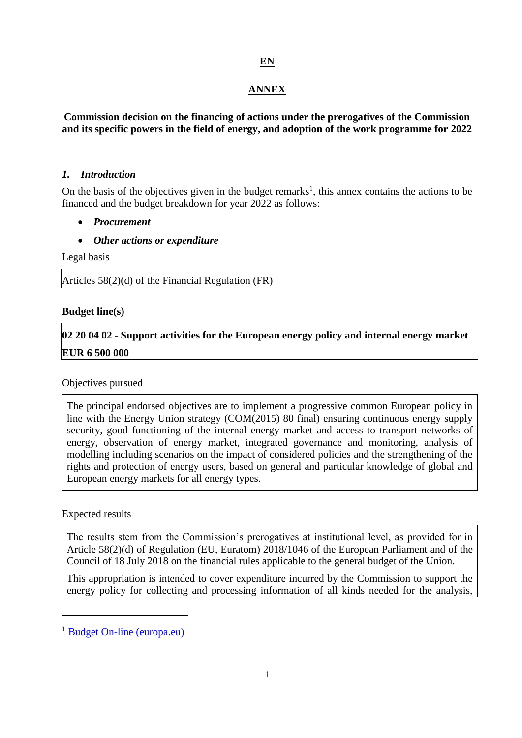# **EN**

### **ANNEX**

**Commission decision on the financing of actions under the prerogatives of the Commission and its specific powers in the field of energy, and adoption of the work programme for 2022**

#### *1. Introduction*

On the basis of the objectives given in the budget remarks<sup>1</sup>, this annex contains the actions to be financed and the budget breakdown for year 2022 as follows:

- *Procurement*
- *Other actions or expenditure*

Legal basis

Articles 58(2)(d) of the Financial Regulation (FR)

#### **Budget line(s)**

**02 20 04 02 - Support activities for the European energy policy and internal energy market EUR 6 500 000**

#### Objectives pursued

The principal endorsed objectives are to implement a progressive common European policy in line with the Energy Union strategy (COM(2015) 80 final) ensuring continuous energy supply security, good functioning of the internal energy market and access to transport networks of energy, observation of energy market, integrated governance and monitoring, analysis of modelling including scenarios on the impact of considered policies and the strengthening of the rights and protection of energy users, based on general and particular knowledge of global and European energy markets for all energy types.

#### Expected results

<u>.</u>

The results stem from the Commission's prerogatives at institutional level, as provided for in Article 58(2)(d) of Regulation (EU, Euratom) 2018/1046 of the European Parliament and of the Council of 18 July 2018 on the financial rules applicable to the general budget of the Union.

This appropriation is intended to cover expenditure incurred by the Commission to support the energy policy for collecting and processing information of all kinds needed for the analysis,

<sup>&</sup>lt;sup>1</sup> [Budget On-line \(europa.eu\)](https://eur-lex.europa.eu/budget/www/index-en.htm)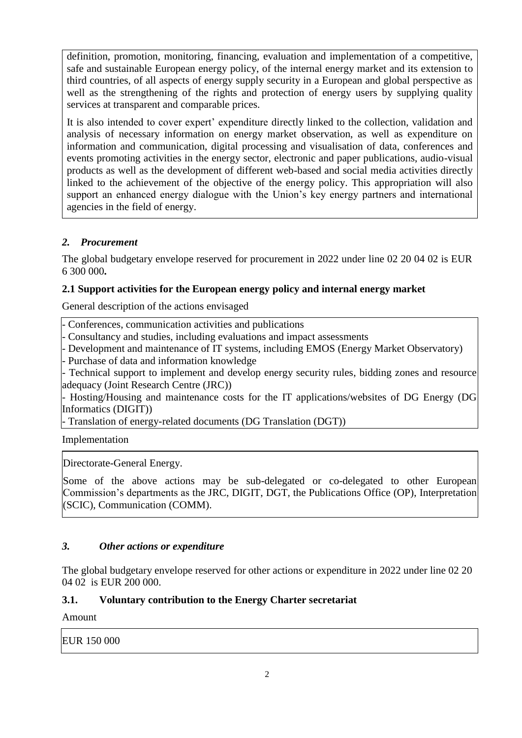definition, promotion, monitoring, financing, evaluation and implementation of a competitive, safe and sustainable European energy policy, of the internal energy market and its extension to third countries, of all aspects of energy supply security in a European and global perspective as well as the strengthening of the rights and protection of energy users by supplying quality services at transparent and comparable prices.

It is also intended to cover expert' expenditure directly linked to the collection, validation and analysis of necessary information on energy market observation, as well as expenditure on information and communication, digital processing and visualisation of data, conferences and events promoting activities in the energy sector, electronic and paper publications, audio-visual products as well as the development of different web-based and social media activities directly linked to the achievement of the objective of the energy policy. This appropriation will also support an enhanced energy dialogue with the Union's key energy partners and international agencies in the field of energy.

# *2. Procurement*

The global budgetary envelope reserved for procurement in 2022 under line 02 20 04 02 is EUR 6 300 000**.**

# **2.1 Support activities for the European energy policy and internal energy market**

General description of the actions envisaged

- Conferences, communication activities and publications

- Consultancy and studies, including evaluations and impact assessments

- Development and maintenance of IT systems, including EMOS (Energy Market Observatory) - Purchase of data and information knowledge

- Technical support to implement and develop energy security rules, bidding zones and resource adequacy (Joint Research Centre (JRC))

- Hosting/Housing and maintenance costs for the IT applications/websites of DG Energy (DG Informatics (DIGIT))

- Translation of energy-related documents (DG Translation (DGT))

Implementation

Directorate-General Energy.

Some of the above actions may be sub-delegated or co-delegated to other European Commission's departments as the JRC, DIGIT, DGT, the Publications Office (OP), Interpretation (SCIC), Communication (COMM).

# *3. Other actions or expenditure*

The global budgetary envelope reserved for other actions or expenditure in 2022 under line 02 20 04 02 is EUR 200 000.

### **3.1. Voluntary contribution to the Energy Charter secretariat**

Amount

EUR 150 000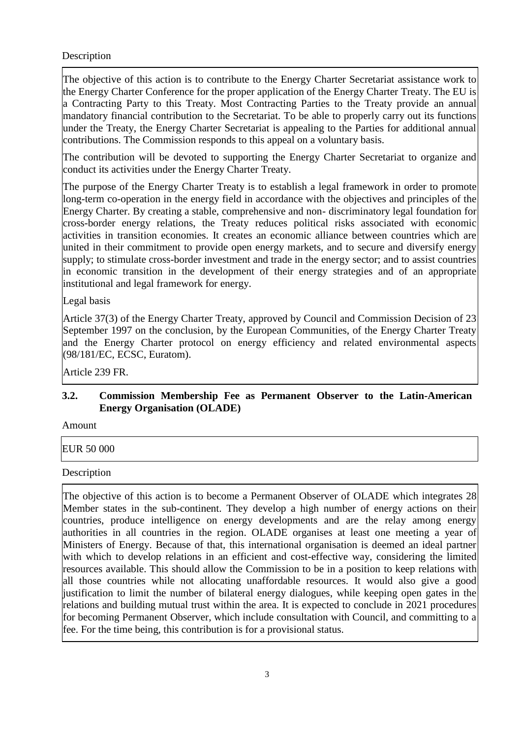#### Description

The objective of this action is to contribute to the Energy Charter Secretariat assistance work to the Energy Charter Conference for the proper application of the Energy Charter Treaty. The EU is a Contracting Party to this Treaty. Most Contracting Parties to the Treaty provide an annual mandatory financial contribution to the Secretariat. To be able to properly carry out its functions under the Treaty, the Energy Charter Secretariat is appealing to the Parties for additional annual contributions. The Commission responds to this appeal on a voluntary basis.

The contribution will be devoted to supporting the Energy Charter Secretariat to organize and conduct its activities under the Energy Charter Treaty.

The purpose of the Energy Charter Treaty is to establish a legal framework in order to promote long-term co-operation in the energy field in accordance with the objectives and principles of the Energy Charter. By creating a stable, comprehensive and non- discriminatory legal foundation for cross-border energy relations, the Treaty reduces political risks associated with economic activities in transition economies. It creates an economic alliance between countries which are united in their commitment to provide open energy markets, and to secure and diversify energy supply; to stimulate cross-border investment and trade in the energy sector; and to assist countries in economic transition in the development of their energy strategies and of an appropriate institutional and legal framework for energy.

Legal basis

Article 37(3) of the Energy Charter Treaty, approved by Council and Commission Decision of 23 September 1997 on the conclusion, by the European Communities, of the Energy Charter Treaty and the Energy Charter protocol on energy efficiency and related environmental aspects (98/181/EC, ECSC, Euratom).

Article 239 FR.

### **3.2. Commission Membership Fee as Permanent Observer to the Latin-American Energy Organisation (OLADE)**

Amount

EUR 50 000

Description

The objective of this action is to become a Permanent Observer of OLADE which integrates 28 Member states in the sub-continent. They develop a high number of energy actions on their countries, produce intelligence on energy developments and are the relay among energy authorities in all countries in the region. OLADE organises at least one meeting a year of Ministers of Energy. Because of that, this international organisation is deemed an ideal partner with which to develop relations in an efficient and cost-effective way, considering the limited resources available. This should allow the Commission to be in a position to keep relations with all those countries while not allocating unaffordable resources. It would also give a good justification to limit the number of bilateral energy dialogues, while keeping open gates in the relations and building mutual trust within the area. It is expected to conclude in 2021 procedures for becoming Permanent Observer, which include consultation with Council, and committing to a fee. For the time being, this contribution is for a provisional status.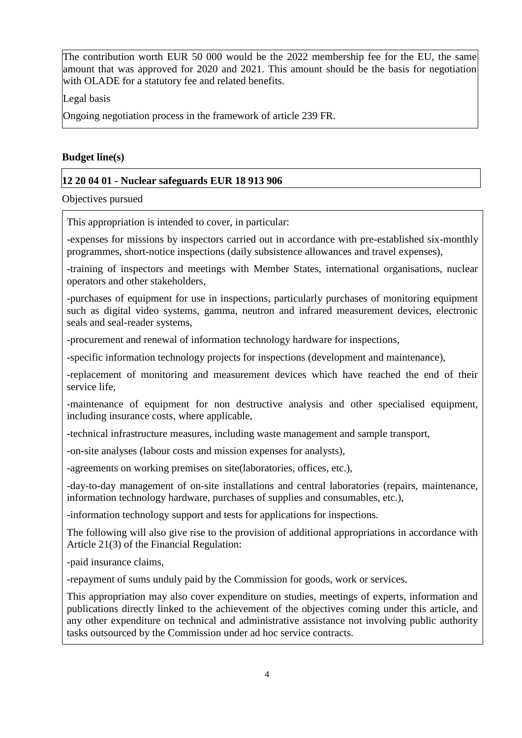The contribution worth EUR 50 000 would be the 2022 membership fee for the EU, the same amount that was approved for 2020 and 2021. This amount should be the basis for negotiation with OLADE for a statutory fee and related benefits.

Legal basis

Ongoing negotiation process in the framework of article 239 FR.

### **Budget line(s)**

### **12 20 04 01 - Nuclear safeguards EUR 18 913 906**

Objectives pursued

This appropriation is intended to cover, in particular:

-expenses for missions by inspectors carried out in accordance with pre-established six-monthly programmes, short-notice inspections (daily subsistence allowances and travel expenses),

-training of inspectors and meetings with Member States, international organisations, nuclear operators and other stakeholders,

-purchases of equipment for use in inspections, particularly purchases of monitoring equipment such as digital video systems, gamma, neutron and infrared measurement devices, electronic seals and seal-reader systems,

-procurement and renewal of information technology hardware for inspections,

-specific information technology projects for inspections (development and maintenance),

-replacement of monitoring and measurement devices which have reached the end of their service life,

-maintenance of equipment for non destructive analysis and other specialised equipment, including insurance costs, where applicable,

-technical infrastructure measures, including waste management and sample transport,

-on-site analyses (labour costs and mission expenses for analysts),

-agreements on working premises on site(laboratories, offices, etc.),

-day-to-day management of on-site installations and central laboratories (repairs, maintenance, information technology hardware, purchases of supplies and consumables, etc.),

-information technology support and tests for applications for inspections.

The following will also give rise to the provision of additional appropriations in accordance with Article 21(3) of the Financial Regulation:

-paid insurance claims,

-repayment of sums unduly paid by the Commission for goods, work or services.

This appropriation may also cover expenditure on studies, meetings of experts, information and publications directly linked to the achievement of the objectives coming under this article, and any other expenditure on technical and administrative assistance not involving public authority tasks outsourced by the Commission under ad hoc service contracts.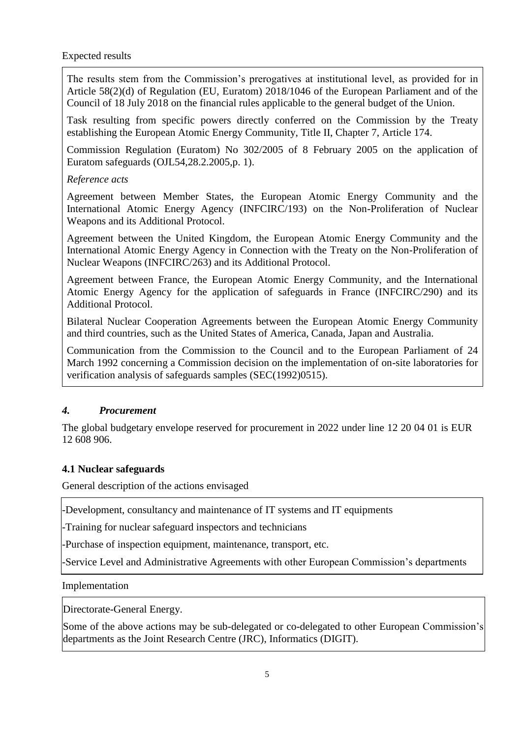The results stem from the Commission's prerogatives at institutional level, as provided for in Article 58(2)(d) of Regulation (EU, Euratom) 2018/1046 of the European Parliament and of the Council of 18 July 2018 on the financial rules applicable to the general budget of the Union.

Task resulting from specific powers directly conferred on the Commission by the Treaty establishing the European Atomic Energy Community, Title II, Chapter 7, Article 174.

Commission Regulation (Euratom) No 302/2005 of 8 February 2005 on the application of Euratom safeguards (OJL54,28.2.2005,p. 1).

#### *Reference acts*

Agreement between Member States, the European Atomic Energy Community and the International Atomic Energy Agency (INFCIRC/193) on the Non-Proliferation of Nuclear Weapons and its Additional Protocol.

Agreement between the United Kingdom, the European Atomic Energy Community and the International Atomic Energy Agency in Connection with the Treaty on the Non-Proliferation of Nuclear Weapons (INFCIRC/263) and its Additional Protocol.

Agreement between France, the European Atomic Energy Community, and the International Atomic Energy Agency for the application of safeguards in France (INFCIRC/290) and its Additional Protocol.

Bilateral Nuclear Cooperation Agreements between the European Atomic Energy Community and third countries, such as the United States of America, Canada, Japan and Australia.

Communication from the Commission to the Council and to the European Parliament of 24 March 1992 concerning a Commission decision on the implementation of on-site laboratories for verification analysis of safeguards samples (SEC(1992)0515).

### *4. Procurement*

The global budgetary envelope reserved for procurement in 2022 under line 12 20 04 01 is EUR 12 608 906.

### **4.1 Nuclear safeguards**

General description of the actions envisaged

-Development, consultancy and maintenance of IT systems and IT equipments

-Training for nuclear safeguard inspectors and technicians

-Purchase of inspection equipment, maintenance, transport, etc.

-Service Level and Administrative Agreements with other European Commission's departments

#### Implementation

Directorate-General Energy.

Some of the above actions may be sub-delegated or co-delegated to other European Commission's departments as the Joint Research Centre (JRC), Informatics (DIGIT).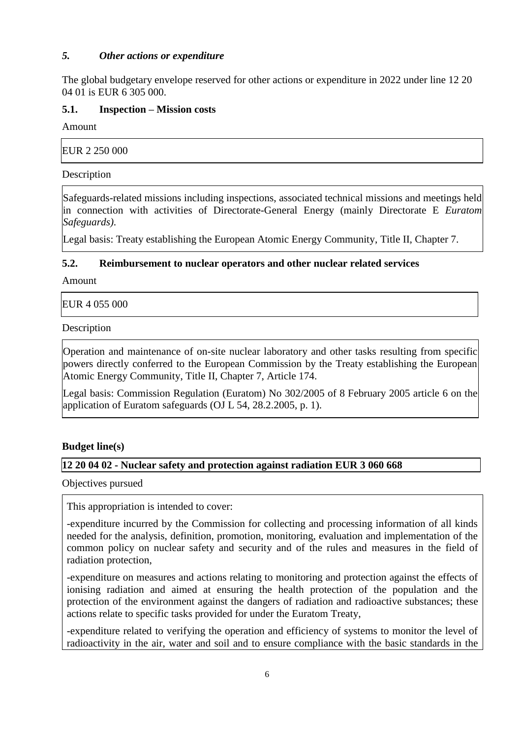### *5. Other actions or expenditure*

The global budgetary envelope reserved for other actions or expenditure in 2022 under line 12 20 04 01 is EUR 6 305 000.

#### **5.1. Inspection – Mission costs**

Amount

| EUR 2 250 000 |  |  |
|---------------|--|--|
| Description   |  |  |

Safeguards-related missions including inspections, associated technical missions and meetings held in connection with activities of Directorate-General Energy (mainly Directorate E *Euratom Safeguards)*.

Legal basis: Treaty establishing the European Atomic Energy Community, Title II, Chapter 7.

### **5.2. Reimbursement to nuclear operators and other nuclear related services**

Amount

EUR 4 055 000

Description

Operation and maintenance of on-site nuclear laboratory and other tasks resulting from specific powers directly conferred to the European Commission by the Treaty establishing the European Atomic Energy Community, Title II, Chapter 7, Article 174.

Legal basis: Commission Regulation (Euratom) No 302/2005 of 8 February 2005 article 6 on the application of Euratom safeguards (OJ L 54, 28.2.2005, p. 1).

#### **Budget line(s)**

### **12 20 04 02 - Nuclear safety and protection against radiation EUR 3 060 668**

Objectives pursued

This appropriation is intended to cover:

-expenditure incurred by the Commission for collecting and processing information of all kinds needed for the analysis, definition, promotion, monitoring, evaluation and implementation of the common policy on nuclear safety and security and of the rules and measures in the field of radiation protection,

-expenditure on measures and actions relating to monitoring and protection against the effects of ionising radiation and aimed at ensuring the health protection of the population and the protection of the environment against the dangers of radiation and radioactive substances; these actions relate to specific tasks provided for under the Euratom Treaty,

-expenditure related to verifying the operation and efficiency of systems to monitor the level of radioactivity in the air, water and soil and to ensure compliance with the basic standards in the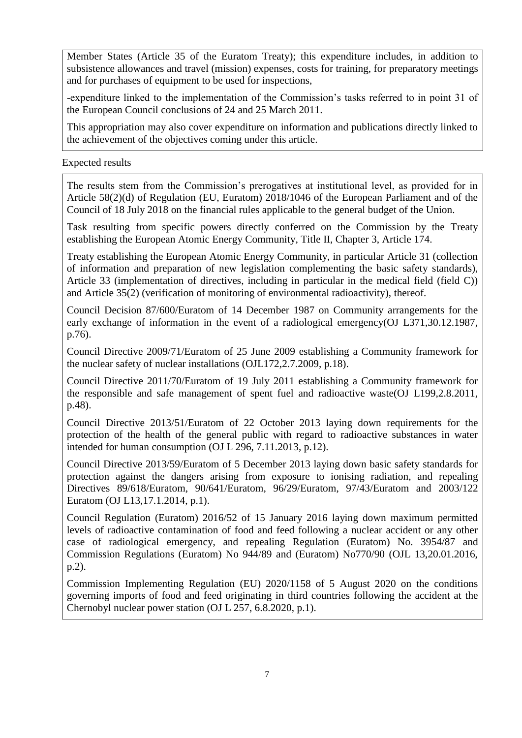Member States (Article 35 of the Euratom Treaty); this expenditure includes, in addition to subsistence allowances and travel (mission) expenses, costs for training, for preparatory meetings and for purchases of equipment to be used for inspections,

-expenditure linked to the implementation of the Commission's tasks referred to in point 31 of the European Council conclusions of 24 and 25 March 2011.

This appropriation may also cover expenditure on information and publications directly linked to the achievement of the objectives coming under this article.

Expected results

The results stem from the Commission's prerogatives at institutional level, as provided for in Article 58(2)(d) of Regulation (EU, Euratom) 2018/1046 of the European Parliament and of the Council of 18 July 2018 on the financial rules applicable to the general budget of the Union.

Task resulting from specific powers directly conferred on the Commission by the Treaty establishing the European Atomic Energy Community, Title II, Chapter 3, Article 174.

Treaty establishing the European Atomic Energy Community, in particular Article 31 (collection of information and preparation of new legislation complementing the basic safety standards), Article 33 (implementation of directives, including in particular in the medical field (field C)) and Article 35(2) (verification of monitoring of environmental radioactivity), thereof.

Council Decision 87/600/Euratom of 14 December 1987 on Community arrangements for the early exchange of information in the event of a radiological emergency(OJ L371,30.12.1987, p.76).

Council Directive 2009/71/Euratom of 25 June 2009 establishing a Community framework for the nuclear safety of nuclear installations (OJL172,2.7.2009, p.18).

Council Directive 2011/70/Euratom of 19 July 2011 establishing a Community framework for the responsible and safe management of spent fuel and radioactive waste(OJ L199,2.8.2011, p.48).

Council Directive 2013/51/Euratom of 22 October 2013 laying down requirements for the protection of the health of the general public with regard to radioactive substances in water intended for human consumption (OJ L 296, 7.11.2013, p.12).

Council Directive 2013/59/Euratom of 5 December 2013 laying down basic safety standards for protection against the dangers arising from exposure to ionising radiation, and repealing Directives 89/618/Euratom, 90/641/Euratom, 96/29/Euratom, 97/43/Euratom and 2003/122 Euratom (OJ L13,17.1.2014, p.1).

Council Regulation (Euratom) 2016/52 of 15 January 2016 laying down maximum permitted levels of radioactive contamination of food and feed following a nuclear accident or any other case of radiological emergency, and repealing Regulation (Euratom) No. 3954/87 and Commission Regulations (Euratom) No 944/89 and (Euratom) No770/90 (OJL 13,20.01.2016, p.2).

Commission Implementing Regulation (EU) 2020/1158 of 5 August 2020 on the conditions governing imports of food and feed originating in third countries following the accident at the Chernobyl nuclear power station (OJ L 257, 6.8.2020, p.1).